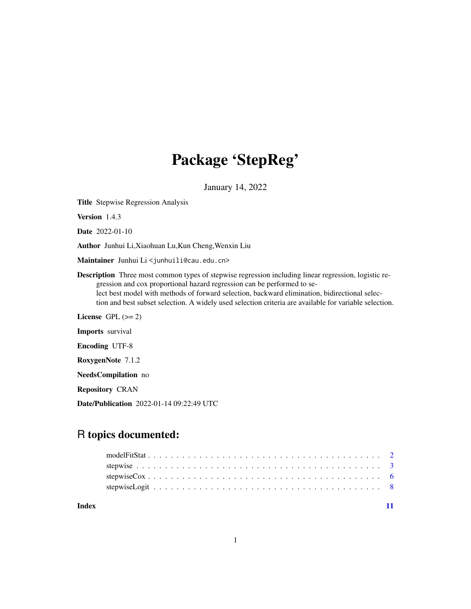## Package 'StepReg'

January 14, 2022

Title Stepwise Regression Analysis

Version 1.4.3

Date 2022-01-10

Author Junhui Li,Xiaohuan Lu,Kun Cheng,Wenxin Liu

Maintainer Junhui Li<junhuili@cau.edu.cn>

Description Three most common types of stepwise regression including linear regression, logistic regression and cox proportional hazard regression can be performed to select best model with methods of forward selection, backward elimination, bidirectional selection and best subset selection. A widely used selection criteria are available for variable selection.

License GPL  $(>= 2)$ 

Imports survival

Encoding UTF-8

RoxygenNote 7.1.2

NeedsCompilation no

Repository CRAN

Date/Publication 2022-01-14 09:22:49 UTC

## R topics documented:

| Index |  |  |  |  |  |  |  |  |  |  |  |  |  |  |  |  |  |
|-------|--|--|--|--|--|--|--|--|--|--|--|--|--|--|--|--|--|
|       |  |  |  |  |  |  |  |  |  |  |  |  |  |  |  |  |  |
|       |  |  |  |  |  |  |  |  |  |  |  |  |  |  |  |  |  |
|       |  |  |  |  |  |  |  |  |  |  |  |  |  |  |  |  |  |
|       |  |  |  |  |  |  |  |  |  |  |  |  |  |  |  |  |  |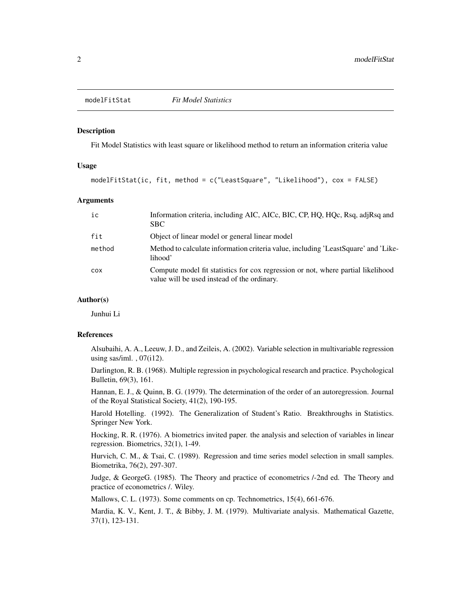<span id="page-1-0"></span>

#### **Description**

Fit Model Statistics with least square or likelihood method to return an information criteria value

#### Usage

modelFitStat(ic, fit, method = c("LeastSquare", "Likelihood"), cox = FALSE)

#### Arguments

| ic         | Information criteria, including AIC, AICc, BIC, CP, HQ, HQc, Rsq, adjRsq and<br>SBC.                                            |
|------------|---------------------------------------------------------------------------------------------------------------------------------|
| fit        | Object of linear model or general linear model                                                                                  |
| method     | Method to calculate information criteria value, including 'LeastSquare' and 'Like-<br>lihood'                                   |
| <b>COX</b> | Compute model fit statistics for cox regression or not, where partial likelihood<br>value will be used instead of the ordinary. |

#### Author(s)

Junhui Li

#### References

Alsubaihi, A. A., Leeuw, J. D., and Zeileis, A. (2002). Variable selection in multivariable regression using sas/iml.,  $07(i12)$ .

Darlington, R. B. (1968). Multiple regression in psychological research and practice. Psychological Bulletin, 69(3), 161.

Hannan, E. J., & Quinn, B. G. (1979). The determination of the order of an autoregression. Journal of the Royal Statistical Society, 41(2), 190-195.

Harold Hotelling. (1992). The Generalization of Student's Ratio. Breakthroughs in Statistics. Springer New York.

Hocking, R. R. (1976). A biometrics invited paper. the analysis and selection of variables in linear regression. Biometrics, 32(1), 1-49.

Hurvich, C. M., & Tsai, C. (1989). Regression and time series model selection in small samples. Biometrika, 76(2), 297-307.

Judge, & GeorgeG. (1985). The Theory and practice of econometrics /-2nd ed. The Theory and practice of econometrics /. Wiley.

Mallows, C. L. (1973). Some comments on cp. Technometrics, 15(4), 661-676.

Mardia, K. V., Kent, J. T., & Bibby, J. M. (1979). Multivariate analysis. Mathematical Gazette, 37(1), 123-131.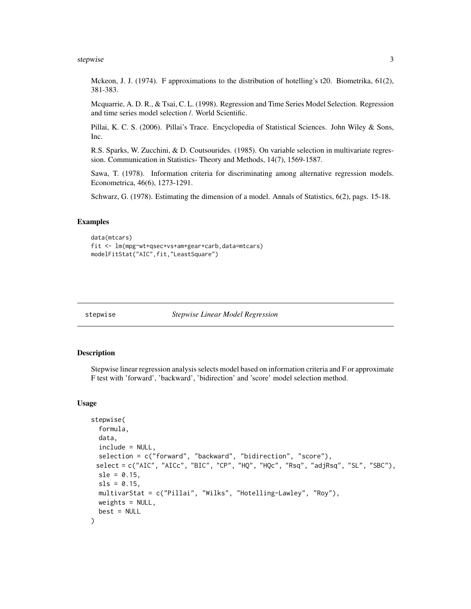#### <span id="page-2-0"></span>stepwise 3

Mckeon, J. J. (1974). F approximations to the distribution of hotelling's t20. Biometrika, 61(2), 381-383.

Mcquarrie, A. D. R., & Tsai, C. L. (1998). Regression and Time Series Model Selection. Regression and time series model selection /. World Scientific.

Pillai, K. C. S. (2006). Pillai's Trace. Encyclopedia of Statistical Sciences. John Wiley & Sons, Inc.

R.S. Sparks, W. Zucchini, & D. Coutsourides. (1985). On variable selection in multivariate regression. Communication in Statistics- Theory and Methods, 14(7), 1569-1587.

Sawa, T. (1978). Information criteria for discriminating among alternative regression models. Econometrica, 46(6), 1273-1291.

Schwarz, G. (1978). Estimating the dimension of a model. Annals of Statistics, 6(2), pags. 15-18.

#### Examples

```
data(mtcars)
fit <- lm(mpg~wt+qsec+vs+am+gear+carb,data=mtcars)
modelFitStat("AIC",fit,"LeastSquare")
```
stepwise *Stepwise Linear Model Regression*

#### Description

Stepwise linear regression analysis selects model based on information criteria and F or approximate F test with 'forward', 'backward', 'bidirection' and 'score' model selection method.

#### Usage

```
stepwise(
  formula,
  data,
  include = NULL,
  selection = c("forward", "backward", "bidirection", "score"),
 select = c("AIC", "AICc", "BIC", "CP", "HQ", "HQc", "Rsq", "adjRsq", "SL", "SBC"),
  s1e = 0.15,
  sls = 0.15,
 multivarStat = c("Pillai", "Wilks", "Hotelling-Lawley", "Roy"),
 weights = NULL,best = NULL
)
```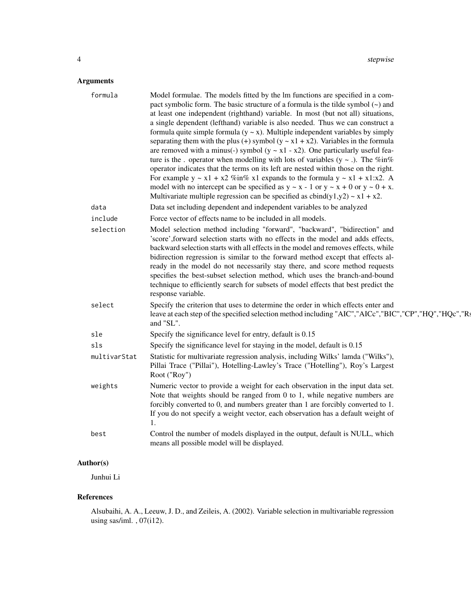#### Arguments

| formula      | Model formulae. The models fitted by the lm functions are specified in a com-<br>pact symbolic form. The basic structure of a formula is the tilde symbol $(\sim)$ and<br>at least one independent (righthand) variable. In most (but not all) situations,<br>a single dependent (lefthand) variable is also needed. Thus we can construct a<br>formula quite simple formula $(y \sim x)$ . Multiple independent variables by simply<br>separating them with the plus (+) symbol ( $y \sim x1 + x2$ ). Variables in the formula<br>are removed with a minus(-) symbol ( $y \sim x1 - x2$ ). One particularly useful fea-<br>ture is the . operator when modelling with lots of variables $(y \sim .)$ . The %in%<br>operator indicates that the terms on its left are nested within those on the right.<br>For example $y \sim x1 + x2$ %in% x1 expands to the formula $y \sim x1 + x1:x2$ . A<br>model with no intercept can be specified as $y \sim x - 1$ or $y \sim x + 0$ or $y \sim 0 + x$ .<br>Multivariate multiple regression can be specified as $cbind(y1,y2) \sim x1 + x2$ . |
|--------------|------------------------------------------------------------------------------------------------------------------------------------------------------------------------------------------------------------------------------------------------------------------------------------------------------------------------------------------------------------------------------------------------------------------------------------------------------------------------------------------------------------------------------------------------------------------------------------------------------------------------------------------------------------------------------------------------------------------------------------------------------------------------------------------------------------------------------------------------------------------------------------------------------------------------------------------------------------------------------------------------------------------------------------------------------------------------------------------|
| data         | Data set including dependent and independent variables to be analyzed                                                                                                                                                                                                                                                                                                                                                                                                                                                                                                                                                                                                                                                                                                                                                                                                                                                                                                                                                                                                                    |
| include      | Force vector of effects name to be included in all models.                                                                                                                                                                                                                                                                                                                                                                                                                                                                                                                                                                                                                                                                                                                                                                                                                                                                                                                                                                                                                               |
| selection    | Model selection method including "forward", "backward", "bidirection" and<br>'score', forward selection starts with no effects in the model and adds effects,<br>backward selection starts with all effects in the model and removes effects, while<br>bidirection regression is similar to the forward method except that effects al-<br>ready in the model do not necessarily stay there, and score method requests<br>specifies the best-subset selection method, which uses the branch-and-bound<br>technique to efficiently search for subsets of model effects that best predict the<br>response variable.                                                                                                                                                                                                                                                                                                                                                                                                                                                                         |
| select       | Specify the criterion that uses to determine the order in which effects enter and<br>leave at each step of the specified selection method including "AIC","AICc","BIC","CP","HQ","HQc","Rs<br>and "SL".                                                                                                                                                                                                                                                                                                                                                                                                                                                                                                                                                                                                                                                                                                                                                                                                                                                                                  |
| sle          | Specify the significance level for entry, default is 0.15                                                                                                                                                                                                                                                                                                                                                                                                                                                                                                                                                                                                                                                                                                                                                                                                                                                                                                                                                                                                                                |
| sls          | Specify the significance level for staying in the model, default is 0.15                                                                                                                                                                                                                                                                                                                                                                                                                                                                                                                                                                                                                                                                                                                                                                                                                                                                                                                                                                                                                 |
| multivarStat | Statistic for multivariate regression analysis, including Wilks' lamda ("Wilks"),<br>Pillai Trace ("Pillai"), Hotelling-Lawley's Trace ("Hotelling"), Roy's Largest<br>Root ("Roy")                                                                                                                                                                                                                                                                                                                                                                                                                                                                                                                                                                                                                                                                                                                                                                                                                                                                                                      |
| weights      | Numeric vector to provide a weight for each observation in the input data set.<br>Note that weights should be ranged from $0$ to $1$ , while negative numbers are<br>forcibly converted to 0, and numbers greater than 1 are forcibly converted to 1.<br>If you do not specify a weight vector, each observation has a default weight of<br>$\mathbf{1}$ .                                                                                                                                                                                                                                                                                                                                                                                                                                                                                                                                                                                                                                                                                                                               |
| best         | Control the number of models displayed in the output, default is NULL, which<br>means all possible model will be displayed.                                                                                                                                                                                                                                                                                                                                                                                                                                                                                                                                                                                                                                                                                                                                                                                                                                                                                                                                                              |

#### Author(s)

Junhui Li

#### References

Alsubaihi, A. A., Leeuw, J. D., and Zeileis, A. (2002). Variable selection in multivariable regression using sas/iml. , 07(i12).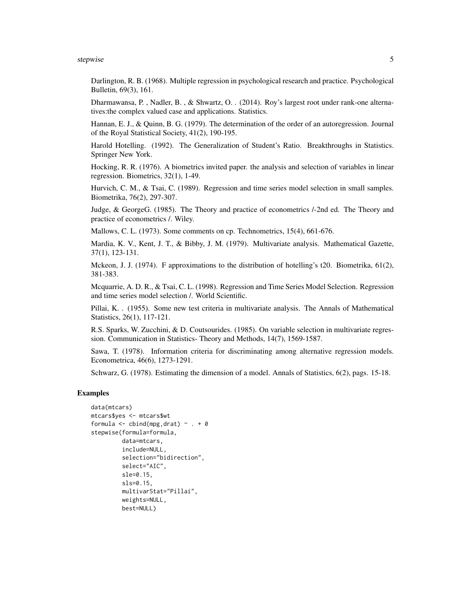#### stepwise 50 and 50 and 50 and 50 and 50 and 50 and 50 and 50 and 50 and 50 and 50 and 50 and 50 and 50 and 50 and 50 and 50 and 50 and 50 and 50 and 50 and 50 and 50 and 50 and 50 and 50 and 50 and 50 and 50 and 50 and 50

Darlington, R. B. (1968). Multiple regression in psychological research and practice. Psychological Bulletin, 69(3), 161.

Dharmawansa, P. , Nadler, B. , & Shwartz, O. . (2014). Roy's largest root under rank-one alternatives:the complex valued case and applications. Statistics.

Hannan, E. J., & Quinn, B. G. (1979). The determination of the order of an autoregression. Journal of the Royal Statistical Society, 41(2), 190-195.

Harold Hotelling. (1992). The Generalization of Student's Ratio. Breakthroughs in Statistics. Springer New York.

Hocking, R. R. (1976). A biometrics invited paper. the analysis and selection of variables in linear regression. Biometrics, 32(1), 1-49.

Hurvich, C. M., & Tsai, C. (1989). Regression and time series model selection in small samples. Biometrika, 76(2), 297-307.

Judge, & GeorgeG. (1985). The Theory and practice of econometrics /-2nd ed. The Theory and practice of econometrics /. Wiley.

Mallows, C. L. (1973). Some comments on cp. Technometrics, 15(4), 661-676.

Mardia, K. V., Kent, J. T., & Bibby, J. M. (1979). Multivariate analysis. Mathematical Gazette, 37(1), 123-131.

Mckeon, J. J. (1974). F approximations to the distribution of hotelling's t20. Biometrika, 61(2), 381-383.

Mcquarrie, A. D. R., & Tsai, C. L. (1998). Regression and Time Series Model Selection. Regression and time series model selection /. World Scientific.

Pillai, K. . (1955). Some new test criteria in multivariate analysis. The Annals of Mathematical Statistics, 26(1), 117-121.

R.S. Sparks, W. Zucchini, & D. Coutsourides. (1985). On variable selection in multivariate regression. Communication in Statistics- Theory and Methods, 14(7), 1569-1587.

Sawa, T. (1978). Information criteria for discriminating among alternative regression models. Econometrica, 46(6), 1273-1291.

Schwarz, G. (1978). Estimating the dimension of a model. Annals of Statistics, 6(2), pags. 15-18.

#### Examples

```
data(mtcars)
mtcars$yes <- mtcars$wt
formula \leq cbind(mpg, drat) \sim . + 0
stepwise(formula=formula,
         data=mtcars,
         include=NULL,
         selection="bidirection",
         select="AIC",
         sle=0.15,
         sls=0.15,
         multivarStat="Pillai",
         weights=NULL,
         best=NULL)
```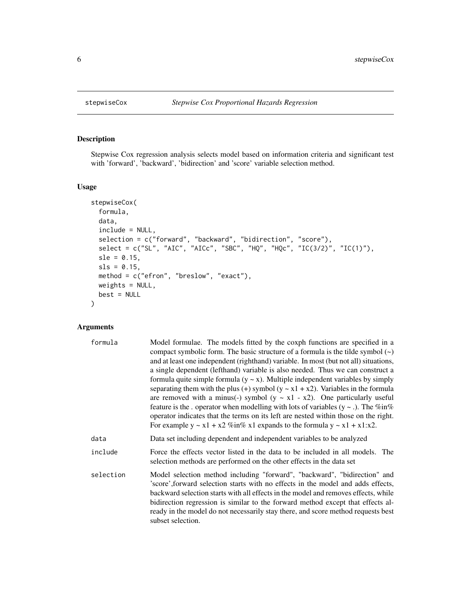#### Description

Stepwise Cox regression analysis selects model based on information criteria and significant test with 'forward', 'backward', 'bidirection' and 'score' variable selection method.

#### Usage

```
stepwiseCox(
  formula,
  data,
  include = NULL,
  selection = c("forward", "backward", "bidirection", "score"),
  select = c("SL", "AIC", "AICc", "SBC", "HQ", "HQc", "IC(3/2)", "IC(1)"),
  sle = 0.15,
  sls = 0.15,
 method = c("efron", "breslow", "exact"),
 weights = NULL,
 best = NULL
)
```
#### Arguments

| formula   | Model formulae. The models fitted by the coxph functions are specified in a<br>compact symbolic form. The basic structure of a formula is the tilde symbol $(\sim)$<br>and at least one independent (righthand) variable. In most (but not all) situations,<br>a single dependent (lefthand) variable is also needed. Thus we can construct a<br>formula quite simple formula $(y \sim x)$ . Multiple independent variables by simply<br>separating them with the plus (+) symbol ( $y \sim x1 + x2$ ). Variables in the formula<br>are removed with a minus(-) symbol ( $y \sim x1 - x2$ ). One particularly useful<br>feature is the . operator when modelling with lots of variables $(y \sim .)$ . The %in%<br>operator indicates that the terms on its left are nested within those on the right.<br>For example $y \sim x1 + x2\%$ in% x1 expands to the formula $y \sim x1 + x1:x2$ . |
|-----------|----------------------------------------------------------------------------------------------------------------------------------------------------------------------------------------------------------------------------------------------------------------------------------------------------------------------------------------------------------------------------------------------------------------------------------------------------------------------------------------------------------------------------------------------------------------------------------------------------------------------------------------------------------------------------------------------------------------------------------------------------------------------------------------------------------------------------------------------------------------------------------------------|
| data      | Data set including dependent and independent variables to be analyzed                                                                                                                                                                                                                                                                                                                                                                                                                                                                                                                                                                                                                                                                                                                                                                                                                        |
| include   | Force the effects vector listed in the data to be included in all models. The<br>selection methods are performed on the other effects in the data set                                                                                                                                                                                                                                                                                                                                                                                                                                                                                                                                                                                                                                                                                                                                        |
| selection | Model selection method including "forward", "backward", "bidirection" and<br>'score', forward selection starts with no effects in the model and adds effects,<br>backward selection starts with all effects in the model and removes effects, while<br>bidirection regression is similar to the forward method except that effects al-<br>ready in the model do not necessarily stay there, and score method requests best<br>subset selection.                                                                                                                                                                                                                                                                                                                                                                                                                                              |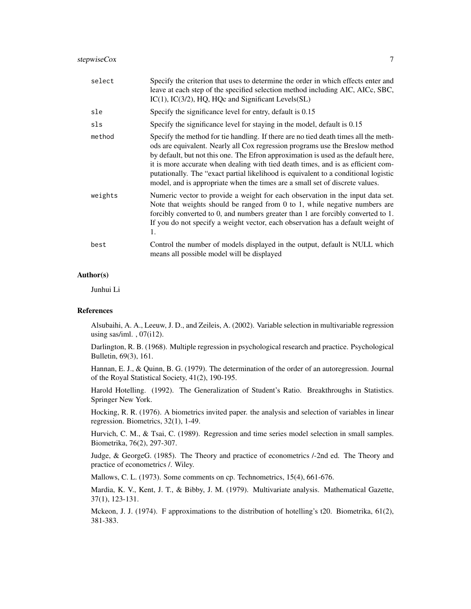| select  | Specify the criterion that uses to determine the order in which effects enter and<br>leave at each step of the specified selection method including AIC, AICc, SBC,<br>$IC(1)$ , $IC(3/2)$ , $HQ$ , $HQc$ and Significant Levels $(SL)$                                                                                                                                                                                                                                                                               |
|---------|-----------------------------------------------------------------------------------------------------------------------------------------------------------------------------------------------------------------------------------------------------------------------------------------------------------------------------------------------------------------------------------------------------------------------------------------------------------------------------------------------------------------------|
| sle     | Specify the significance level for entry, default is 0.15                                                                                                                                                                                                                                                                                                                                                                                                                                                             |
| sls     | Specify the significance level for staying in the model, default is 0.15                                                                                                                                                                                                                                                                                                                                                                                                                                              |
| method  | Specify the method for tie handling. If there are no tied death times all the meth-<br>ods are equivalent. Nearly all Cox regression programs use the Breslow method<br>by default, but not this one. The Efron approximation is used as the default here,<br>it is more accurate when dealing with tied death times, and is as efficient com-<br>putationally. The "exact partial likelihood is equivalent to a conditional logistic<br>model, and is appropriate when the times are a small set of discrete values. |
| weights | Numeric vector to provide a weight for each observation in the input data set.<br>Note that weights should be ranged from $0$ to 1, while negative numbers are<br>forcibly converted to 0, and numbers greater than 1 are forcibly converted to 1.<br>If you do not specify a weight vector, each observation has a default weight of<br>1.                                                                                                                                                                           |
| best    | Control the number of models displayed in the output, default is NULL which<br>means all possible model will be displayed                                                                                                                                                                                                                                                                                                                                                                                             |

#### Author(s)

Junhui Li

#### References

Alsubaihi, A. A., Leeuw, J. D., and Zeileis, A. (2002). Variable selection in multivariable regression using sas/iml. , 07(i12).

Darlington, R. B. (1968). Multiple regression in psychological research and practice. Psychological Bulletin, 69(3), 161.

Hannan, E. J., & Quinn, B. G. (1979). The determination of the order of an autoregression. Journal of the Royal Statistical Society, 41(2), 190-195.

Harold Hotelling. (1992). The Generalization of Student's Ratio. Breakthroughs in Statistics. Springer New York.

Hocking, R. R. (1976). A biometrics invited paper. the analysis and selection of variables in linear regression. Biometrics, 32(1), 1-49.

Hurvich, C. M., & Tsai, C. (1989). Regression and time series model selection in small samples. Biometrika, 76(2), 297-307.

Judge, & GeorgeG. (1985). The Theory and practice of econometrics /-2nd ed. The Theory and practice of econometrics /. Wiley.

Mallows, C. L. (1973). Some comments on cp. Technometrics, 15(4), 661-676.

Mardia, K. V., Kent, J. T., & Bibby, J. M. (1979). Multivariate analysis. Mathematical Gazette, 37(1), 123-131.

Mckeon, J. J. (1974). F approximations to the distribution of hotelling's t20. Biometrika, 61(2), 381-383.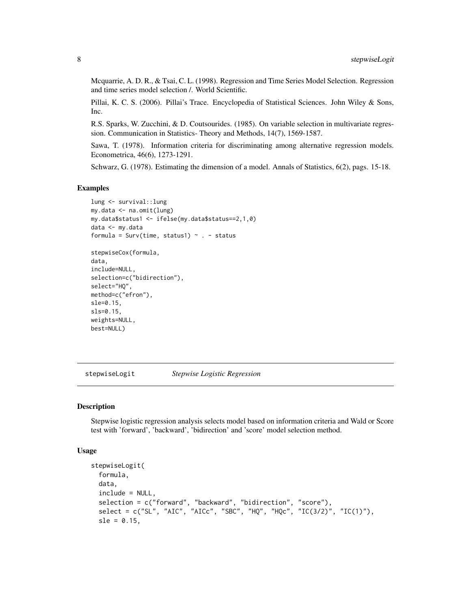<span id="page-7-0"></span>Mcquarrie, A. D. R., & Tsai, C. L. (1998). Regression and Time Series Model Selection. Regression and time series model selection /. World Scientific.

Pillai, K. C. S. (2006). Pillai's Trace. Encyclopedia of Statistical Sciences. John Wiley & Sons, Inc.

R.S. Sparks, W. Zucchini, & D. Coutsourides. (1985). On variable selection in multivariate regression. Communication in Statistics- Theory and Methods, 14(7), 1569-1587.

Sawa, T. (1978). Information criteria for discriminating among alternative regression models. Econometrica, 46(6), 1273-1291.

Schwarz, G. (1978). Estimating the dimension of a model. Annals of Statistics, 6(2), pags. 15-18.

#### Examples

```
lung <- survival::lung
my.data <- na.omit(lung)
my.data$status1 <- ifelse(my.data$status==2,1,0)
data <- my.data
formula = Surv(time, status1) \sim . - status
stepwiseCox(formula,
data,
include=NULL,
selection=c("bidirection"),
select="HQ",
method=c("efron"),
sle=0.15,
```
stepwiseLogit *Stepwise Logistic Regression*

#### Description

sls=0.15, weights=NULL, best=NULL)

Stepwise logistic regression analysis selects model based on information criteria and Wald or Score test with 'forward', 'backward', 'bidirection' and 'score' model selection method.

#### Usage

```
stepwiseLogit(
  formula,
  data,
  include = NULL,
  selection = c("forward", "backward", "bidirection", "score"),
  select = c("SL", "AIC", "AICc", "SBC", "HQ", "HQc", "IC(3/2)", "IC(1)"),
  sle = 0.15,
```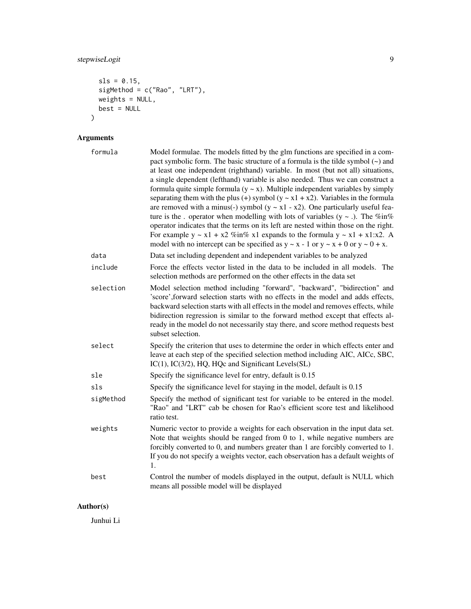#### stepwiseLogit 9

```
sls = 0.15,
 sigMethod = c("Rao", "LRT"),
 weights = NULL,
 best = NULL
\mathcal{L}
```
### Arguments

| formula   | Model formulae. The models fitted by the glm functions are specified in a com-<br>pact symbolic form. The basic structure of a formula is the tilde symbol $(\sim)$ and<br>at least one independent (righthand) variable. In most (but not all) situations,<br>a single dependent (lefthand) variable is also needed. Thus we can construct a<br>formula quite simple formula $(y \sim x)$ . Multiple independent variables by simply<br>separating them with the plus (+) symbol ( $y \sim x1 + x2$ ). Variables in the formula<br>are removed with a minus(-) symbol ( $y \sim x1 - x2$ ). One particularly useful fea-<br>ture is the . operator when modelling with lots of variables $(y \sim .)$ . The %in%<br>operator indicates that the terms on its left are nested within those on the right.<br>For example $y \sim x1 + x2$ %in% x1 expands to the formula $y \sim x1 + x1:x2$ . A<br>model with no intercept can be specified as $y \sim x - 1$ or $y \sim x + 0$ or $y \sim 0 + x$ . |
|-----------|-----------------------------------------------------------------------------------------------------------------------------------------------------------------------------------------------------------------------------------------------------------------------------------------------------------------------------------------------------------------------------------------------------------------------------------------------------------------------------------------------------------------------------------------------------------------------------------------------------------------------------------------------------------------------------------------------------------------------------------------------------------------------------------------------------------------------------------------------------------------------------------------------------------------------------------------------------------------------------------------------------|
| data      | Data set including dependent and independent variables to be analyzed                                                                                                                                                                                                                                                                                                                                                                                                                                                                                                                                                                                                                                                                                                                                                                                                                                                                                                                               |
| include   | Force the effects vector listed in the data to be included in all models. The<br>selection methods are performed on the other effects in the data set                                                                                                                                                                                                                                                                                                                                                                                                                                                                                                                                                                                                                                                                                                                                                                                                                                               |
| selection | Model selection method including "forward", "backward", "bidirection" and<br>'score', forward selection starts with no effects in the model and adds effects,<br>backward selection starts with all effects in the model and removes effects, while<br>bidirection regression is similar to the forward method except that effects al-<br>ready in the model do not necessarily stay there, and score method requests best<br>subset selection.                                                                                                                                                                                                                                                                                                                                                                                                                                                                                                                                                     |
| select    | Specify the criterion that uses to determine the order in which effects enter and<br>leave at each step of the specified selection method including AIC, AICc, SBC,<br>IC(1), IC(3/2), HQ, HQc and Significant Levels(SL)                                                                                                                                                                                                                                                                                                                                                                                                                                                                                                                                                                                                                                                                                                                                                                           |
| sle       | Specify the significance level for entry, default is 0.15                                                                                                                                                                                                                                                                                                                                                                                                                                                                                                                                                                                                                                                                                                                                                                                                                                                                                                                                           |
| sls       | Specify the significance level for staying in the model, default is 0.15                                                                                                                                                                                                                                                                                                                                                                                                                                                                                                                                                                                                                                                                                                                                                                                                                                                                                                                            |
| sigMethod | Specify the method of significant test for variable to be entered in the model.<br>"Rao" and "LRT" cab be chosen for Rao's efficient score test and likelihood<br>ratio test.                                                                                                                                                                                                                                                                                                                                                                                                                                                                                                                                                                                                                                                                                                                                                                                                                       |
| weights   | Numeric vector to provide a weights for each observation in the input data set.<br>Note that weights should be ranged from $0$ to 1, while negative numbers are<br>forcibly converted to 0, and numbers greater than 1 are forcibly converted to 1.<br>If you do not specify a weights vector, each observation has a default weights of<br>1.                                                                                                                                                                                                                                                                                                                                                                                                                                                                                                                                                                                                                                                      |
| best      | Control the number of models displayed in the output, default is NULL which<br>means all possible model will be displayed                                                                                                                                                                                                                                                                                                                                                                                                                                                                                                                                                                                                                                                                                                                                                                                                                                                                           |

#### Author(s)

Junhui Li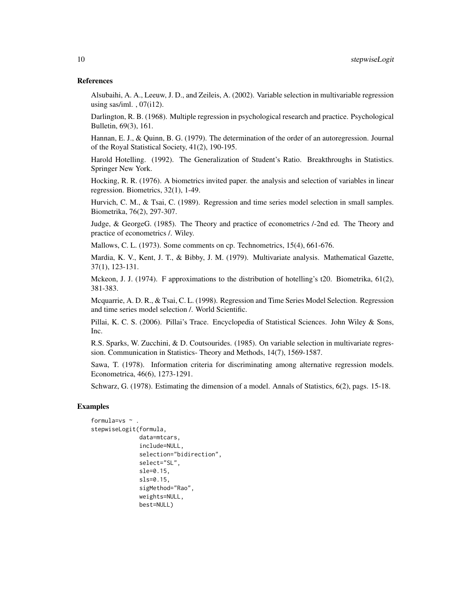#### References

Alsubaihi, A. A., Leeuw, J. D., and Zeileis, A. (2002). Variable selection in multivariable regression using sas/iml.  $, 07(i12)$ .

Darlington, R. B. (1968). Multiple regression in psychological research and practice. Psychological Bulletin, 69(3), 161.

Hannan, E. J., & Quinn, B. G. (1979). The determination of the order of an autoregression. Journal of the Royal Statistical Society, 41(2), 190-195.

Harold Hotelling. (1992). The Generalization of Student's Ratio. Breakthroughs in Statistics. Springer New York.

Hocking, R. R. (1976). A biometrics invited paper. the analysis and selection of variables in linear regression. Biometrics, 32(1), 1-49.

Hurvich, C. M., & Tsai, C. (1989). Regression and time series model selection in small samples. Biometrika, 76(2), 297-307.

Judge, & GeorgeG. (1985). The Theory and practice of econometrics /-2nd ed. The Theory and practice of econometrics /. Wiley.

Mallows, C. L. (1973). Some comments on cp. Technometrics, 15(4), 661-676.

Mardia, K. V., Kent, J. T., & Bibby, J. M. (1979). Multivariate analysis. Mathematical Gazette, 37(1), 123-131.

Mckeon, J. J. (1974). F approximations to the distribution of hotelling's t20. Biometrika, 61(2), 381-383.

Mcquarrie, A. D. R., & Tsai, C. L. (1998). Regression and Time Series Model Selection. Regression and time series model selection /. World Scientific.

Pillai, K. C. S. (2006). Pillai's Trace. Encyclopedia of Statistical Sciences. John Wiley & Sons, Inc.

R.S. Sparks, W. Zucchini, & D. Coutsourides. (1985). On variable selection in multivariate regression. Communication in Statistics- Theory and Methods, 14(7), 1569-1587.

Sawa, T. (1978). Information criteria for discriminating among alternative regression models. Econometrica, 46(6), 1273-1291.

Schwarz, G. (1978). Estimating the dimension of a model. Annals of Statistics, 6(2), pags. 15-18.

#### Examples

```
formula=vs \sim .
stepwiseLogit(formula,
              data=mtcars,
              include=NULL,
              selection="bidirection",
              select="SL",
              sle=0.15,
              sls=0.15,
              sigMethod="Rao",
              weights=NULL,
              best=NULL)
```